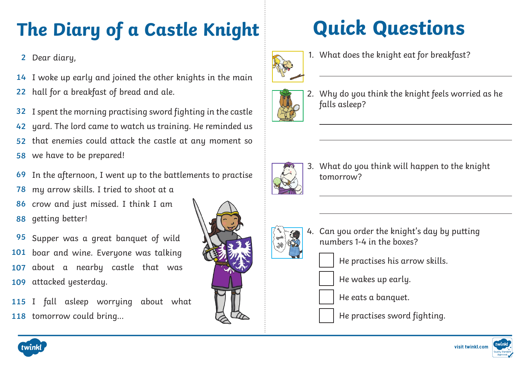# **The Diary of a Castle Knight**

2 Dear diary,

14 I woke up early and joined the other knights in the main

hall for a breakfast of bread and ale. **22**

I spent the morning practising sword fighting in the castle yard. The lord came to watch us training. He reminded us that enemies could attack the castle at any moment so **32 42 52**

- we have to be prepared! **58**
- In the afternoon, I went up to the battlements to practise **69**
- my arrow skills. I tried to shoot at a **78**
- crow and just missed. I think I am getting better! **86 88**

Supper was a great banquet of wild 101 boar and wine. Everyone was talking about a nearby castle that was attacked yesterday. **95 107 109**

115 I fall asleep worrying about what 118 tomorrow could bring...

# **Quick Questions**



1. What does the knight eat for breakfast?



2. Why do you think the knight feels worried as he falls asleep?



3. What do you think will happen to the knight tomorrow?

- - 4. Can you order the knight's day by putting numbers 1-4 in the boxes?

He practises his arrow skills.

He wakes up early.

He eats a banquet.

He practises sword fighting.